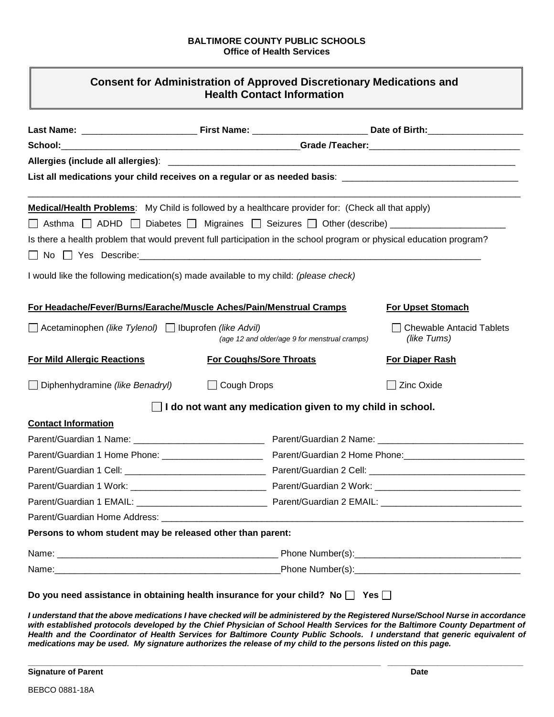## **BALTIMORE COUNTY PUBLIC SCHOOLS Office of Health Services**

## **Consent for Administration of Approved Discretionary Medications and Health Contact Information**

|                                        | Medical/Health Problems: My Child is followed by a healthcare provider for: (Check all that apply)       |                                                                                                                      |
|----------------------------------------|----------------------------------------------------------------------------------------------------------|----------------------------------------------------------------------------------------------------------------------|
|                                        |                                                                                                          | □ Asthma □ ADHD □ Diabetes □ Migraines □ Seizures □ Other (describe) _________________                               |
|                                        |                                                                                                          | Is there a health problem that would prevent full participation in the school program or physical education program? |
|                                        |                                                                                                          |                                                                                                                      |
|                                        | I would like the following medication(s) made available to my child: (please check)                      |                                                                                                                      |
|                                        | For Headache/Fever/Burns/Earache/Muscle Aches/Pain/Menstrual Cramps                                      | <b>For Upset Stomach</b>                                                                                             |
|                                        | △ Acetaminophen (like Tylenol) △ Ibuprofen (like Advil)<br>(age 12 and older/age 9 for menstrual cramps) | <b>Chewable Antacid Tablets</b><br>(like Tums)                                                                       |
| <b>For Mild Allergic Reactions</b>     | <b>For Coughs/Sore Throats</b>                                                                           | <b>For Diaper Rash</b>                                                                                               |
| $\Box$ Diphenhydramine (like Benadryl) | Cough Drops                                                                                              | <b>Zinc Oxide</b>                                                                                                    |
|                                        | I do not want any medication given to my child in school.                                                |                                                                                                                      |
| <b>Contact Information</b>             |                                                                                                          |                                                                                                                      |
|                                        |                                                                                                          |                                                                                                                      |
|                                        | Parent/Guardian 1 Home Phone: ______________________                                                     | Parent/Guardian 2 Home Phone: 2008                                                                                   |
|                                        |                                                                                                          |                                                                                                                      |
|                                        |                                                                                                          |                                                                                                                      |
|                                        |                                                                                                          |                                                                                                                      |
| Parent/Guardian Home Address:          |                                                                                                          |                                                                                                                      |
|                                        | Persons to whom student may be released other than parent:                                               |                                                                                                                      |
|                                        |                                                                                                          |                                                                                                                      |
|                                        |                                                                                                          |                                                                                                                      |

**\_\_\_\_\_\_\_\_\_\_\_\_\_\_\_\_\_\_\_\_\_\_\_\_\_\_\_\_\_\_\_\_\_\_\_\_\_\_\_\_\_\_\_\_\_\_\_\_\_\_\_\_\_\_\_\_\_\_\_\_\_\_\_\_\_\_\_\_\_\_\_\_\_\_\_\_\_\_ \_\_\_\_\_\_\_\_\_\_\_\_\_\_\_\_\_\_\_\_\_\_\_\_\_\_\_\_\_\_**

**Signature of Parent Date**